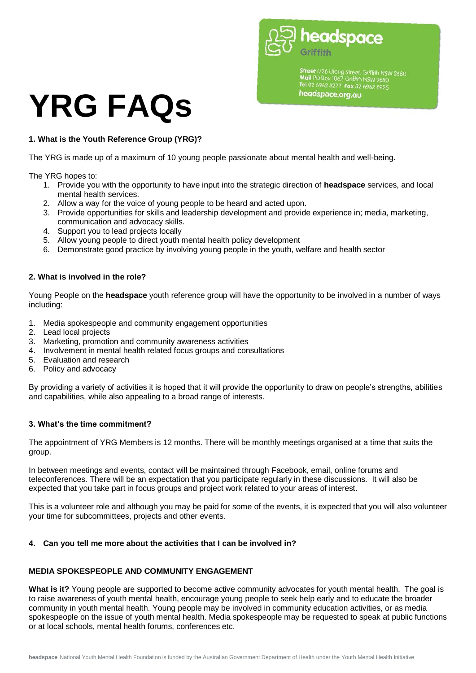headspace

Street 1/26 Ulong Street, Griffith NSW 2680<br>Mail PO Box 1067, Griffith NSW 2680<br>Tel 02 6962 3277 Fax 02 6962 6925 headspace.org.gu

# **YRG FAQs**

## **1. What is the Youth Reference Group (YRG)?**

The YRG is made up of a maximum of 10 young people passionate about mental health and well-being.

The YRG hopes to:

- 1. Provide you with the opportunity to have input into the strategic direction of **headspace** services, and local mental health services.
- 2. Allow a way for the voice of young people to be heard and acted upon.
- 3. Provide opportunities for skills and leadership development and provide experience in; media, marketing, communication and advocacy skills.
- 4. Support you to lead projects locally
- 5. Allow young people to direct youth mental health policy development
- 6. Demonstrate good practice by involving young people in the youth, welfare and health sector

## **2. What is involved in the role?**

Young People on the **headspace** youth reference group will have the opportunity to be involved in a number of ways including:

- 1. Media spokespeople and community engagement opportunities
- 2. Lead local projects
- 3. Marketing, promotion and community awareness activities
- 4. Involvement in mental health related focus groups and consultations
- 5. Evaluation and research
- 6. Policy and advocacy

By providing a variety of activities it is hoped that it will provide the opportunity to draw on people's strengths, abilities and capabilities, while also appealing to a broad range of interests.

## **3. What's the time commitment?**

The appointment of YRG Members is 12 months. There will be monthly meetings organised at a time that suits the group.

In between meetings and events, contact will be maintained through Facebook, email, online forums and teleconferences. There will be an expectation that you participate regularly in these discussions. It will also be expected that you take part in focus groups and project work related to your areas of interest.

This is a volunteer role and although you may be paid for some of the events, it is expected that you will also volunteer your time for subcommittees, projects and other events.

## **4. Can you tell me more about the activities that I can be involved in?**

## **MEDIA SPOKESPEOPLE AND COMMUNITY ENGAGEMENT**

What is it? Young people are supported to become active community advocates for youth mental health. The goal is to raise awareness of youth mental health, encourage young people to seek help early and to educate the broader community in youth mental health. Young people may be involved in community education activities, or as media spokespeople on the issue of youth mental health. Media spokespeople may be requested to speak at public functions or at local schools, mental health forums, conferences etc.